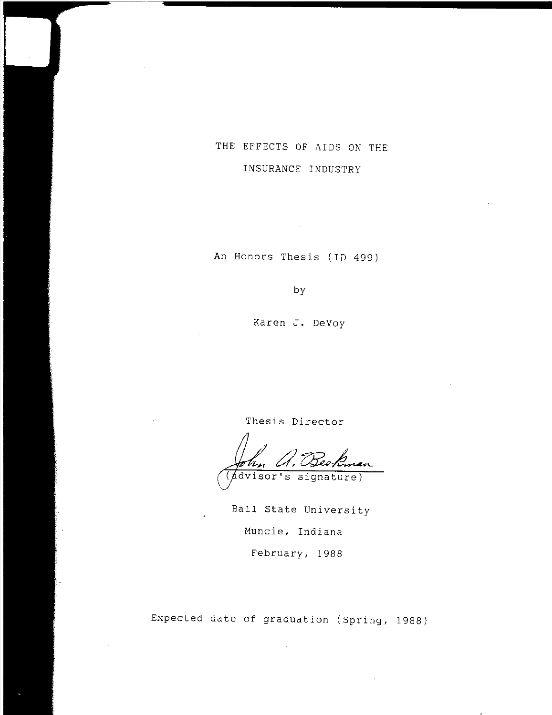# THE EFFECTS OF AIDS ON THE INSURANCE INDUSTRY

An Honors Thesis (ID 499)

 $\bar{z}$ 

by

Karen **J.** DeVoy

Thesis Director

dvisor's signature)

Ball State University Muncie, Indiana February, 1988

Expected date of graduation (Spring, 1988)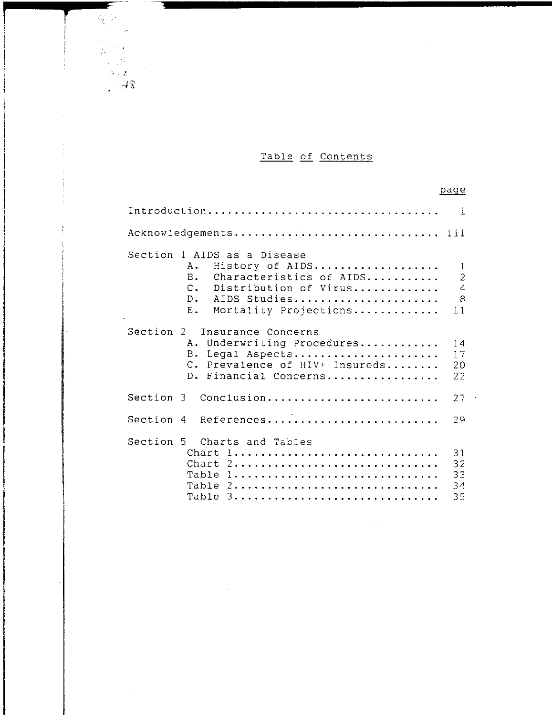# Table of Contents

|                                                                                                                                                                                                                 | page                                             |
|-----------------------------------------------------------------------------------------------------------------------------------------------------------------------------------------------------------------|--------------------------------------------------|
| Introduction                                                                                                                                                                                                    | i                                                |
|                                                                                                                                                                                                                 |                                                  |
| Section 1 AIDS as a Disease<br>History of AIDS<br>Α.<br>B <sub>z</sub><br>Characteristics of AIDS<br>$\mathsf{C}$ .<br>Distribution of Virus<br>$D_{\bullet}$<br>AIDS Studies<br>$E$ .<br>Mortality Projections | 1<br>$\overline{c}$<br>$\overline{4}$<br>8<br>11 |
| Section 2<br>Insurance Concerns<br>Underwriting Procedures<br>Α.<br>B.<br>Legal Aspects<br>$C_{\infty}$<br>Prevalence of HIV+ Insureds<br>D. Financial Concerns                                                 | 14<br>17<br>20<br>22                             |
| Section 3<br>Conclusion                                                                                                                                                                                         | 27                                               |
| Section 4 References                                                                                                                                                                                            | 29                                               |
| Section 5 Charts and Tables<br>Chart 1<br>Chart 2<br>Table<br>Table 2<br>Table 3                                                                                                                                | 31<br>32<br>33<br>34<br>35                       |

 $\sim$   $\sim$ 

 $\mathcal{L}^{\mathcal{L}}$ 

 $\sim$ 

 $-32$ <br> $-48$ 

- -

 $\bar{\omega}$ 

 $\mathcal{O}(\mathfrak{p})$ 

 $\frac{1}{100}$ 

 $\frac{1}{2} \sum_{i=1}^{n} \frac{1}{i} \sum_{j=1}^{n} \frac{1}{j}$ 

 $\frac{1}{\sqrt{2}}$ 

 $\sim$ 

**f** 

 $\frac{1}{2}$ 

İ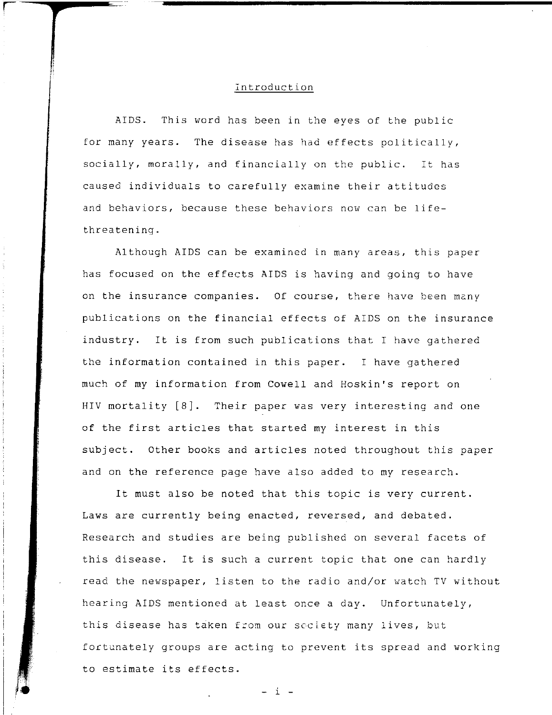# Introduction

AIDS. This word has been in the eyes of the public for many years. The disease has had effects politically, socially, morally, and financially on the public. **It has**  caused individuals to carefully examine their attitudes and behaviors, because these behaviors now can be lifethreatening.

Although AIDS can be examined in many areas, this paper has focused on the effects AIDS is having and going to have on the insurance companies. Of course, there have been many publications on the financial effects of AIDS on the insurance industry. It is from such publications that I have gathered the information contained in this paper. I have gathered much of my information from Cowell and Hoskin's report on HIV mortality [8]. Their paper was very interesting and one of the first articles that started my interest in this subject. Other books and articles noted throughout this paper and on the reference page have also added to my research.

It must also be noted that this topic is very current. Laws are currently being enacted, reversed, and debated. Research and studies are being published on several facets of this disease. It is such a current topic that one can hardly read the newspaper, listen to the radio and/or watch TV without hearing AIDS mentioned at least once a day. Unfortunately, this disease has taken from our society many lives, but fortunately groups are acting to prevent its spread and working to estimate its effects.

- i -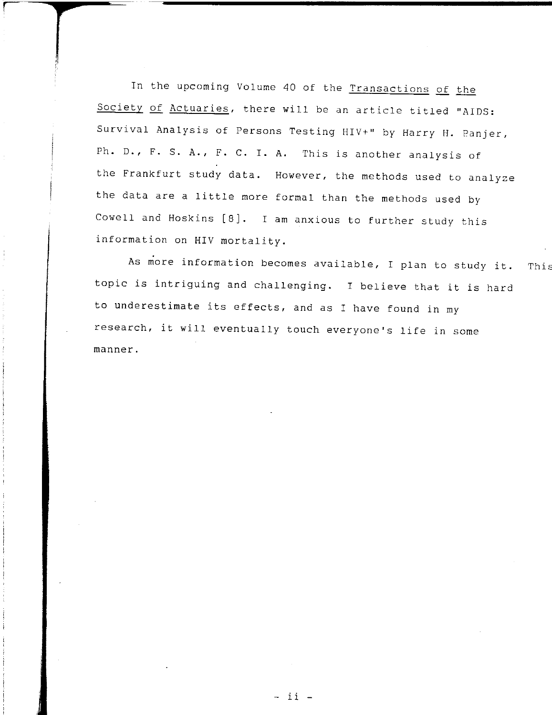In the upcoming Volume 40 of the Transactions of the Society of Actuaries, there will be an article titled "AIDS: Survival Analysis of Persons Testing HIV+" by Harry H. Panjer, Ph. D., F. S. A., F. C. I. A. This is another analysis of the Frankfurt study data. However, the methods used to analyze the data are a little more formal than the methods used by Cowell and Hoskins [8]. I am anxious to further study this information on HIV mortality.

As more information becomes available, I plan to study it. topic is intriguing and challenging. I believe that it is hard to underestimate its effects, and as I have found in my research, it will eventually touch everyone's life in some manner. ThiE

- ii -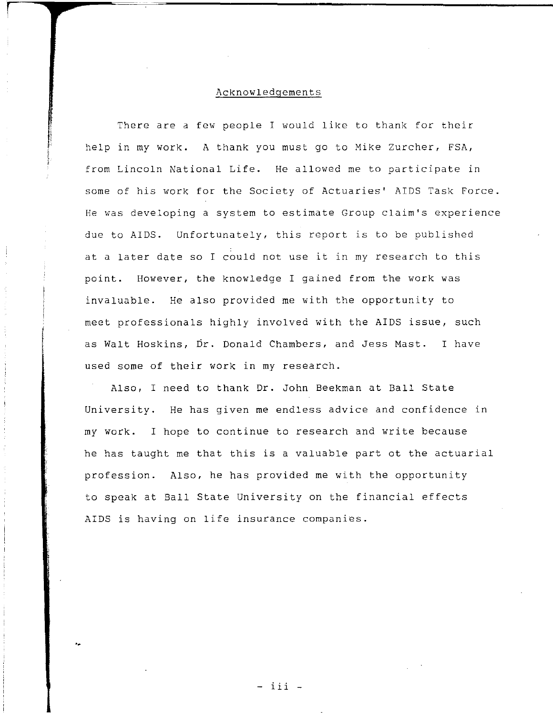### Acknowledgements

There are a few people I would like to thank for their help in my work. A thank you must go to Mike Zurcher, FSA, from Lincoln National Life. He allowed me to participate in some of his work for the Society of Actuaries' AIDS Task Force. He was developing a system to estimate Group claim's experience due to AIDS. Unfortunately, this report is to be published at a later date so I could not use it in my research to this point. However, the knowledge I gained from the work was invaluable. He also provided me with the opportunity to meet professionals highly involved with the AIDS issue, such as Walt Hoskins, Dr. Donald Chambers, and Jess Mast. I have used some of their work in my research.

Also, I need to thank Dr. John Beekman at Ball State University. He has given me endless advice and confidence in my work. I hope to continue to research and write because he has taught me that this is a valuable part ot the actuarial profession. Also, he has provided me with the opportunity to speak at Ball State University on the financial effects AIDS is having on life insurance companies.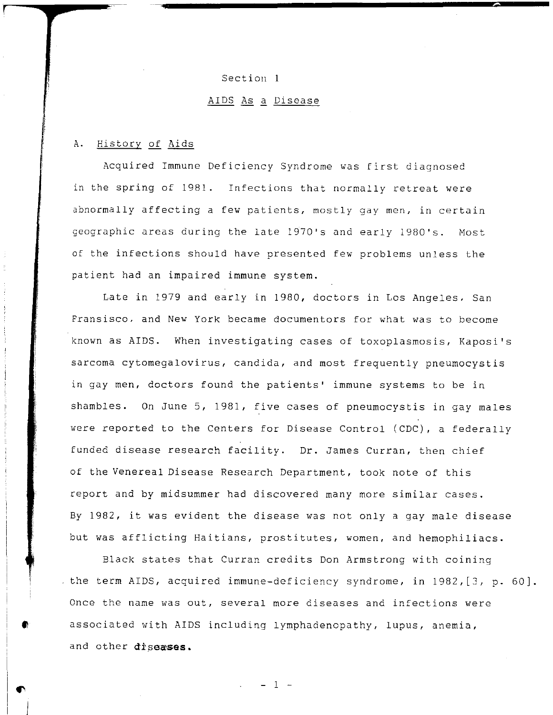#### Section 1

# AIDS As a Disease

## A. History of Aids

Acquired Immune Deficiency Syndrome was first diagnosed in the spring of 1981. Infections that normally retreat were abnormally affecting a few patients, mostly gay men, in certain geographic areas during the late 1970's and early 1980's. Most of the infections should have presented few problems unless the patient had an impaired immune system.

Late in 1979 and early in 1980, doctors in Los Angeles. San Fransisco. and New York became documentors for what was to become known as AIDS. When investigating cases of toxoplasmosis, Kaposi's sarcoma cytomegalovirus, candida, and most frequently pneumocystis in gay men, doctors found the patients' immune systems to be in shambles. On June 5, 1981, five cases of pneumocystis in gay males were reported to the Centers for Disease Control (CDC), a federally funded disease research facility. Dr. James Curran, then chief of the Venereal Disease Research Department, took note of this report and by midsummer had discovered many more similar cases. By 1982, it was evident the disease was not only a gay male disease but was afflicting Haitians, prostitutes, women, and hemophiliacs.

Black states that Curran credits Don Armstrong with coining the term AIDS, acquired immune-deficiency syndrome, in 1982,[3, p. 60]. Once the name was out, several more diseases and infections were associated with AIDS including lymphadenopathy, lupus, anemia, and other diseases.

 $\frac{1}{\sqrt{2}}$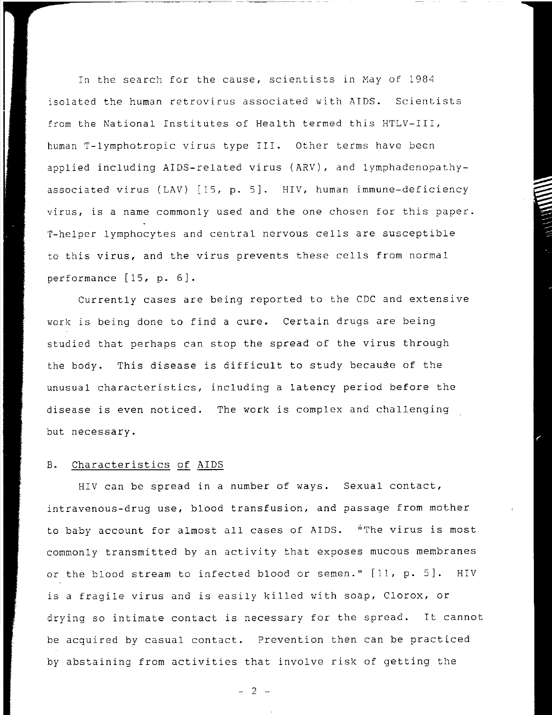In the search for the cause, scientists in May of 1984 isolated the human retrovirus associated with AIDS. Scientists from the National Institutes of Health termed this HTLV-III, human T-lymphotropic virus type III. Other terms have been applied including AIDS-related virus (ARV), and lymphadenopathyassociated virus (LAV) [15, p. 5]. HIV, human immune-deficiency virus, is a name commonly used and the one chosen for this paper. T-helper lymphocytes and central nervous cells are susceptible to this virus, and the virus prevents these cells from normal performance [15, p. 6).

Currently cases are being reported to the CDC and extensive work is being done to find a cure. Certain drugs are being studied that perhaps can stop the spread of the virus through the body. This disease is difficult to study because of the unusual characteristics, including a latency period before the disease is even noticed. The work is complex and challenging but necessary.

# B. Characteristics of AIDS

HIV can be spread in a number of ways. Sexual contact, intravenous-drug use, blood transfusion, and passage from mother to baby account for almost all cases of AIDS. "The virus is most commonly transmitted by an activity that exposes mucous membranes or the blood stream to infected blood or semen." [11, p. 5]. HIV is a fragile virus and is easily killed with soap, Clorox, or drying so intimate contact is necessary for the spread. It cannot be acquired by casual contact. Prevention then can be practiced by abstaining from activities that involve risk of getting the

 $- 2 -$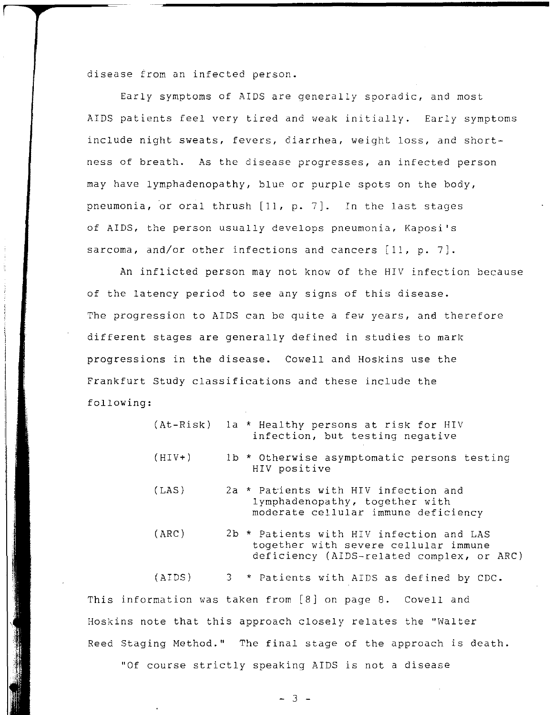disease from an infected person.

Early symptoms of AIDS are generally sporadic, and most AIDS patients feel very tired and weak initially. Early symptoms include night sweats, fevers, diarrhea, weight loss, and shortness of breath. As the disease progresses, an infected person may have lymphadenopathy, blue or purple spots on the body, pneumonia, or oral thrush [11, **p.** 7]. In the last stages of AIDS, the person usually develops pneumonia, Kaposi's sarcoma, and/or other infections and cancers [11, **p.** 7].

An inflicted person may not know of the HIV infection because of the latency period to see any signs of this disease. The progression to AIDS can be quite a few years, and therefore different stages are generally defined in studies to mark progressions in the disease. Cowell and Hoskins use the Frankfurt Study classifications and these include the following:

|          | (At-Risk) la * Healthy persons at risk for HIV<br>infection, but testing negative                                             |
|----------|-------------------------------------------------------------------------------------------------------------------------------|
| $(HIV+)$ | 1b * Otherwise asymptomatic persons testing<br>HIV positive                                                                   |
| (LAS)    | 2a * Patients with HIV infection and<br>lymphadenopathy, together with<br>moderate cellular immune deficiency                 |
| (ARC)    | 2b * Patients with HIV infection and LAS<br>together with severe cellular immune<br>deficiency (AIDS-related complex, or ARC) |
|          | (AIDS) 3 * Patients with AIDS as defined by CDC.                                                                              |
|          | This information was taken from [8] on page 8. Cowell and                                                                     |
|          | Hoskins note that this approach closely relates the "Walter                                                                   |
|          | Reed Staging Method." The final stage of the approach is death.                                                               |

"Of course strictly speaking AIDS is not a disease

 $-3$   $-$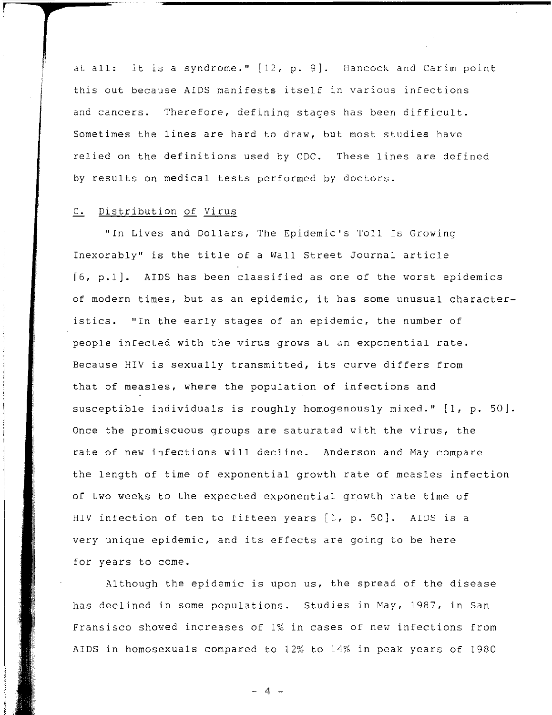at all: it is a syndrome." [12, p. 9]. Hancock and Carim point this out because AIDS manifests itself in various infections and cancers. Therefore, defining stages has been difficult. Sometimes the lines are hard to draw, but most studies have relied on the definitions used by CDC. These lines are defined by results on medical tests performed by doctors.

# C. Distribution of Virus

"In Lives and Dollars, The Epidemic's Toll Is Growing Inexorably" is the title of a Wall Street Journal article [6, p.lJ. AIDS has been classified as one of the worst epidemics of modern times, but as an epidemic, it has some unusual characteristics. "In the early stages of an epidemic, the number of people infected with the virus grows at an exponential rate. Because HIV is sexually transmitted, its curve differs from that of measles, where the population of infections and susceptible individuals is roughly homogenously mixed."  $[1, p. 50].$ Once the promiscuous groups are saturated with the virus, the rate of new infections will decline. Anderson and May compare the length of time of exponential growth rate of measles infection of two weeks to the expected exponential growth rate time of HIV infection of ten to fifteen years [1, p. 50]. AIDS is a very unique epidemic, and its effects are going to be here for years to come.

Although the epidemic is upon us, the spread of the disease has declined in some populations. Studies in May, 1987, in San Fransisco showed increases of 1% in cases of new infections from AIDS in homosexuals compared to 12% to 14% in peak years of 1980

 $\Delta$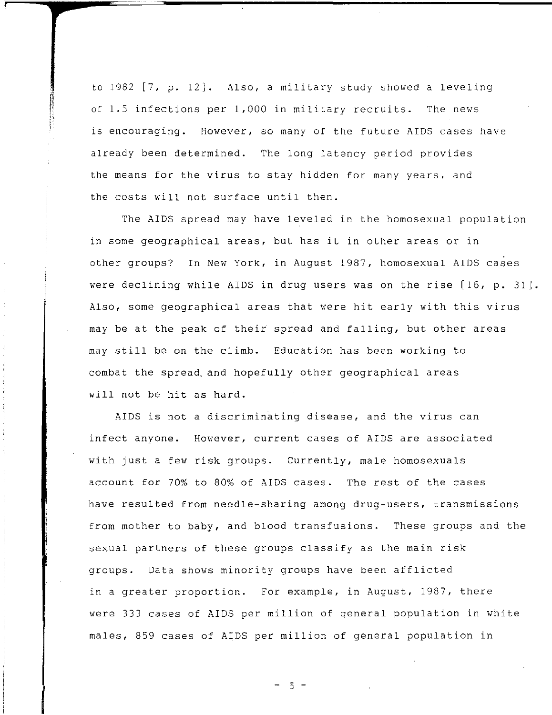to 1982 [7, p. 12]. Also, a military study showed a leveling of 1.5 infections per 1,000 in military recruits. The news is encouraging. However, so many of the future AIDS cases have already been determined. The long latency period provides the means for the virus to stay hidden for many years, and the costs will not surface until then.

The AIDS spread may have leveled in the homosexual population in some geographical areas, but has it in other areas or in other groups? In New York, in August 1987, homosexual AIDS cases were declining while AIDS in drug users was on the rise [16, p. 31]. Also, some geographical areas that were hit early with this virus may be at the peak of their spread and falling, but other areas may still be on the climb. Education has been working to combat the spread, and hopefully other geographical areas will not be hit as hard.

AIDS is not a discriminating disease, and the virus can infect anyone. However, current cases of AIDS are associated with just a few risk groups. Currently, male homosexuals account for 70% to 80% of AIDS cases. The rest of the cases have resulted from needle-sharing among drug-users, transmissions from mother to baby, and blood transfusions. These groups and the sexual partners of these groups classify as the main risk groups. Data shows minority groups have been afflicted in a greater proportion. For example, in August, 1987, there were 333 cases of AIDS per million of general population in white males, 859 cases of AIDS per million of general population in

5 -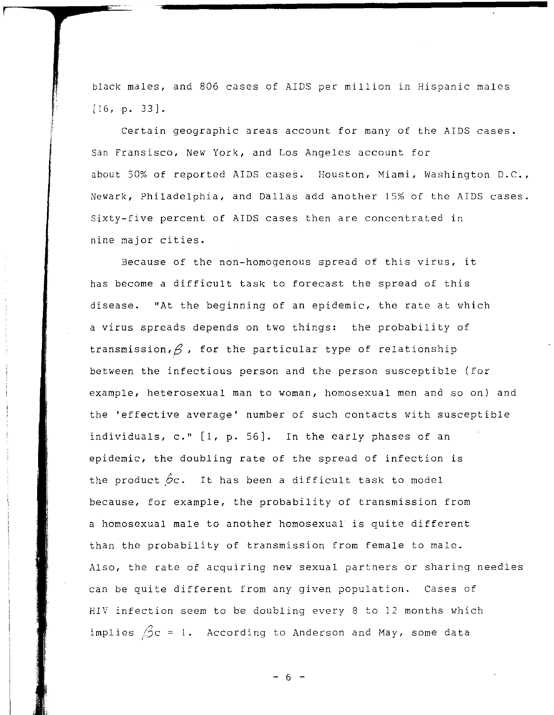black males, and 806 cases of AIDS per million in Hispanic males [16, p. 33].

Certain geographic areas account for many of the AIDS cases. San Fransisco, New York, and Los Angeles account for about 50% of reported AIDS cases. Houston, Miami, Washington D.C., Newark, Philadelphia, and Dallas add another 15% of the AIDS cases. Sixty-five percent of AIDS cases then are concentrated in nine major cities.

Because of the non-homogenous spread of this virus, it has become a difficult task to forecast the spread of this disease. "At the beginning of an epidemic, the rate at which a virus spreads depends on two things: the probability of transmission,  $\beta$ , for the particular type of relationship between the infectious person and the person susceptible (for example, heterosexual man to woman, homosexual men and so on) and the 'effective average' number of such contacts with susceptible individuals, *c."* [1, p. 56]. In the early phases of an epidemic, the doubling rate of the spread of infection is the product  $\beta$ c. It has been a difficult task to model because, for example, the probability of transmission from a homosexual male to another homosexual is quite different than the probability of transmission from female to male. Also, the rate of acquiring new sexual partners or sharing needles can be quite different from any given population. Cases of HIV infection seem to be doubling every 8 to 12 months which implies  $\beta c = 1$ . According to Anderson and May, some data

 $- 6 -$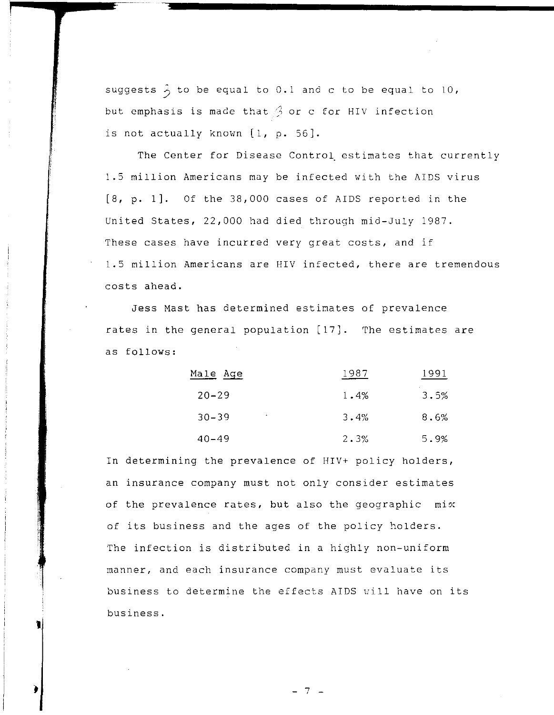suggests  $\hat{\cdot}$  to be equal to 0.1 and c to be equal to 10, but emphasis is made that  $\beta$  or c for HIV infection is not actually known [1, **p.** 56J.

The Center for Disease Control estimates that currently 1.5 million Americans may be infected with the AIDS virus [8, **p.** 1J. Of the 38,000 cases of AIDS reported in the United States, 22,000 had died through mid-July 1987. These cases have incurred very great costs, and if 1.5 million Americans are HIV infected, there are tremendous costs ahead.

Jess Mast has determined estimates of prevalence rates in the general population [17]. The estimates are as follows:

| <u>Male Age</u>                  | 1987 | 1991 |
|----------------------------------|------|------|
| $20 - 29$                        | 1.4% | 3.5% |
| $30 - 39$<br>$\hat{\phantom{a}}$ | 3.4% | 8.6% |
| $40 - 49$                        | 2.3% | 5.9% |

In determining the prevalence of HIV+ policy holders, an insurance company must not only consider estimates of the prevalence rates, but also the geographic mix of its business and the ages of the policy holders. The infection is distributed in a highly non-uniform manner, and each insurance company must evaluate its business to determine the effects AIDS will have on its business.

1

- 7 -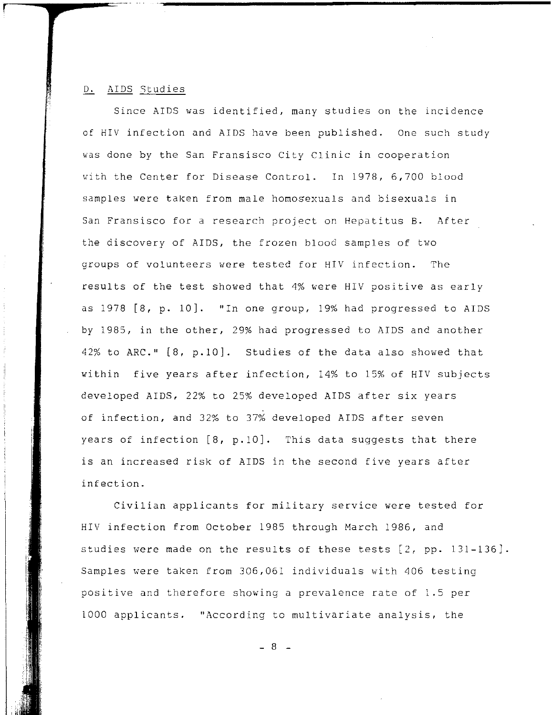# D. AIDS Studies

Since AIDS was identified, many studies on the incidence of HIV infection and AIDS have been published. One such study was done by the San Fransisco City Clinic in cooperation with the Center for Disease Control. In 1978, 6,700 blood samples were taken from male homosexuals and bisexuals in San Fransisco for a research project on Hepatitus B. After the discovery of AIDS, the frozen blood samples of two groups of volunteers were tested for HIV infection. The results of the test showed that 4% were HIV positive as early as 1978 [8, p. 10]. "In one group, 19% had progressed to AIDS by 1985, in the other, 29% had progressed to AIDS and another 42% to ARC."  $[8, p.10]$ . Studies of the data also showed that within five years after infection, 14% to 15% of HIV subjects developed AIDS, 22% to 25% developed AIDS after six years of infection, and 32% to 37% developed AIDS after seven years of infection [8, p.10]. This data suggests that there is an increased risk of AIDS in the second five years after infection.

Civilian applicants for military service were tested for HIV infection from October 1985 through March 1986, and studies were made on the results of these tests  $[2, pp. 131-136]$ . Samples were taken from 306,061 individuals with 406 testing positive and therefore showing a prevalence rate of 1.5 per 1000 applicants. "According to multivariate analysis, the

- 8 -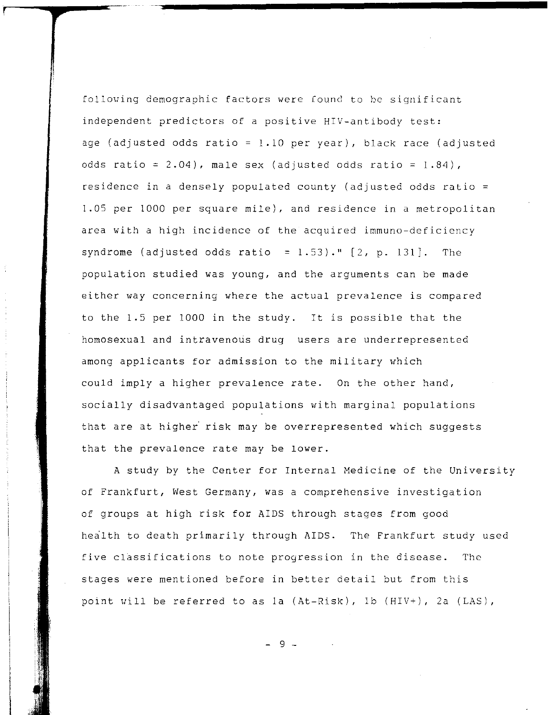following demographic factors were found to be significant independent predictors of a positive HIV-antibody test: age (adjusted odds ratio = 1.10 per year), black race (adjusted odds ratio =  $2.04$ ), male sex (adjusted odds ratio =  $1.84$ ), residence in a densely populated county (adjusted odds ratio = 1.05 per 1000 per square mile), and residence in a metropolitan area with a high incidence of the acquired immuno-deficiency syndrome (adjusted odds ratio =  $1.53$ )."  $[2, p. 131]$ . The population studied was young, and the arguments can be made either way concerning where the actual prevalence is compared to the 1.5 per 1000 in the study. It is possible that the homosexual and intravenous drug users are underrepresented among applicants for admission to the military which could imply a higher prevalence rate. On the other hand, socially disadvantaged populations with marginal populations that are at higher risk may be overrepresented which suggests that the prevalence rate may be lower.

A study by the Center for Internal Medicine of the University of Frankfurt, West Germany, was a comprehensive investigation of groups at high risk for AIDS through stages from good health to death primarily through AIDS. The Frankfurt study used five classifications to note progression in the disease. The stages were mentioned before in better detail but from this point will be referred to as la  $(At-Risk)$ , 1b  $(HIV+)$ , 2a  $(LAS)$ ,

 $Q$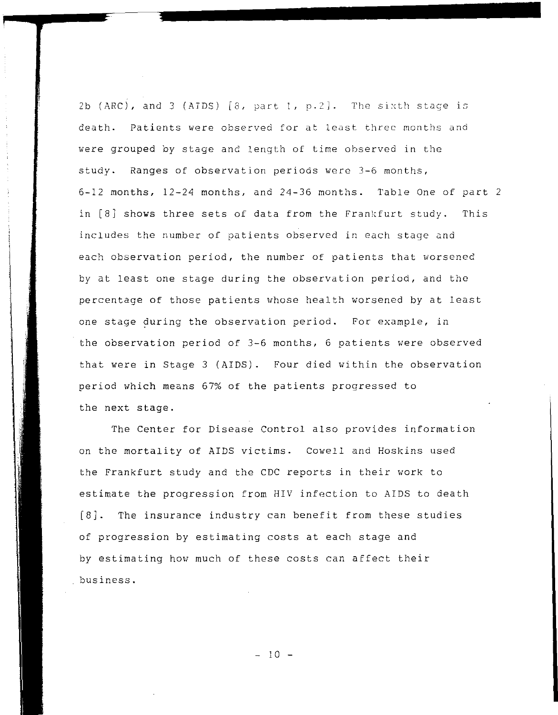2b (ARC), and 3 (AIDS)  $[8, part 1, p.2]$ . The sixth stage is death. Patients were observed for at least three months and were grouped by stage and length of time observed in the study. Ranges of observation periods were 3-6 months, 6-12 months, 12-24 months, and 24-36 months. Table One of part 2 in [8] shows three sets of data from the Frankfurt study. This includes the number of patients observed in each stage and each observation period, the number of patients that worsened by at least one stage during the observation period, and the percentage of those patients whose health worsened by at least one stage during the observation period. For example, in the observation period of 3-6 months, 6 patients were observed that were in Stage 3 (AIDS). Four died within the observation period which means 67% of the patients progressed to the next stage.

The Center for Disease Control also provides information on the mortality of AIDS victims. Cowell and Hoskins used the Frankfurt study and the CDC reports in their work to estimate the progression from HIV infection to AIDS to death [8]. The insurance industry can benefit from these studies of progression by estimating costs at each stage and by estimating how much of these costs can affect their business.

 $- 10 -$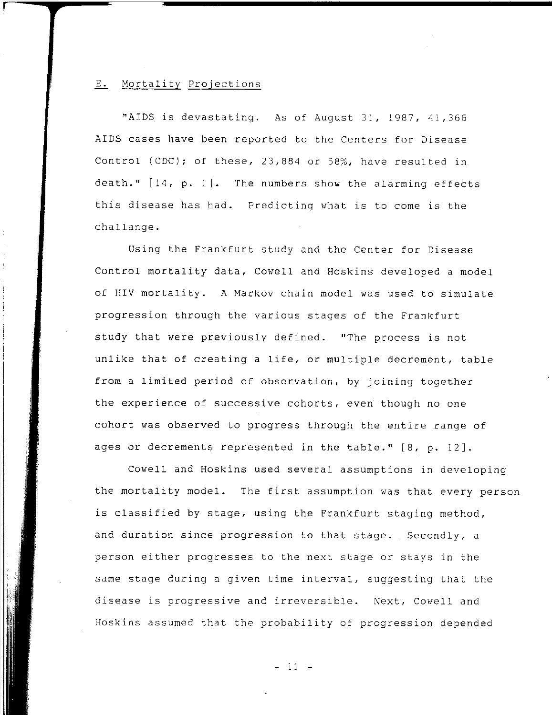# E. Mortality Projections

"AIDS is devastating. As of August 31, 1987, 41,366 AIDS cases have been reported to the Centers for Disease Control (CDC); of these, 23,884 or 58%, have resulted in death." [14, p. 1]. The numbers show the alarming effects this disease has had. Predicting what is to come is the challange.

Using the Frankfurt study and the Center for Disease Control mortality data, Cowell and Hoskins developed a model of HIV mortality. A Markov chain model was used to simulate progression through the various stages of the Frankfurt study that were previously defined. "The process is not unlike that of creating a life, or multiple decrement, table from a limited period of observation, by joining together the experience of successive cohorts, even though no one cohort was observed to progress through the entire range of ages or decrements represented in the table." [8, p. 12J.

Cowell and Hoskins used several assumptions in developing the mortality model. The first assumption was that every person is classified by stage, using the Frankfurt staging method, and duration since progression to that stage. Secondly, a person either progresses to the next stage or stays in the same stage during a given time interval, suggesting that the disease is progressive and irreversible. Next, Cowell and Hoskins assumed that the probability of progression depended

- 11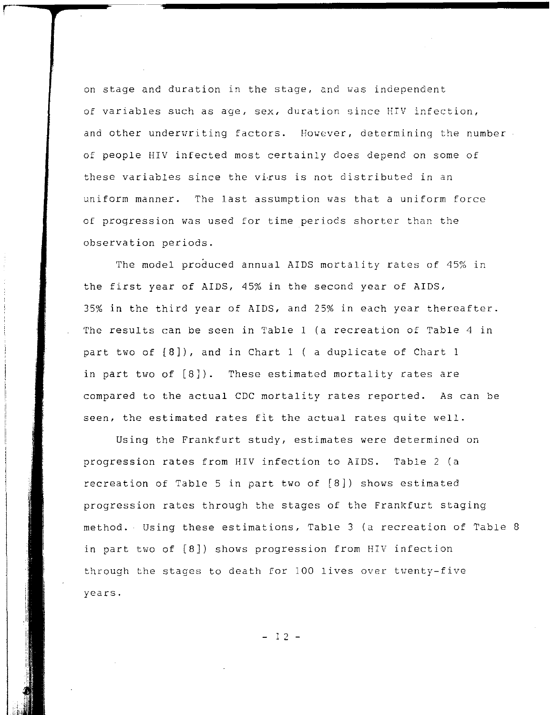on stage and duration in the stage. and was independent of variables such as age, sex, duration since HIV infection, and other underwriting factors. However, determining the number. of people HIV infected most certainly does depend on some of these variables since the virus is not distributed in an uniform manner. The last assumption was that a uniform force of progression was used for time periods shorter than the observation periods.

The model produced annual AIDS mortality rates of 45% in the first year of AIDS, 45% in the second year of AIDS, 35% in the third year of AIDS. and 25% in each year thereafter. The results can be seen in Table 1 (a recreation of Table 4 in part two of  $[8]$ ), and in Chart 1 ( a duplicate of Chart 1 in part two of [8]). These estimated mortality rates are compared to the actual CDC mortality rates reported. As can be seen. the estimated rates fit the actual rates quite well.

Using the Frankfurt study. estimates were determined on progression rates from HIV infection to AIDS. Table 2 (a recreation of Table 5 in part two of [8]) shows estimated progression rates through the stages of the Frankfurt staging method. Using these estimations. Table 3 (a recreation of Table 8 in part two of [8J) shows progression from HIV infection through the stages to death for 100 lives over twenty-five years.

- I 2 -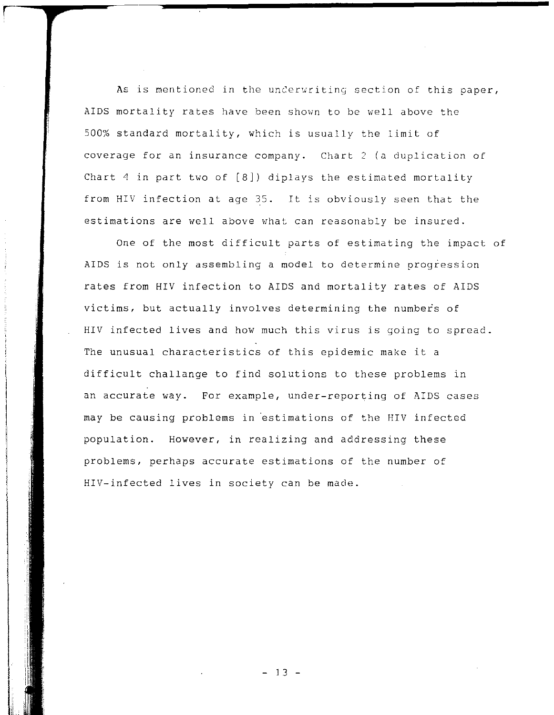As is mentioned in the underwriting section of this paper, AIDS mortality rates have been shown to be well above the 500% standard mortality, which is usually the limit of coverage for an insurance company. Chart 2 (a duplication of Chart 4 in part two of [8]) diplays the estimated mortality from HIV infection at age 35. It is obviously seen that the estimations are well above what can reasonably be insured.

One of the most difficult parts of estimating the impact of AIDS is not only assembling a model to determine progression rates from HIV infection to AIDS and mortality rates of AIDS victims, but actually involves determining the numbers of HIV infected lives and how much this virus is going to spread. The unusual characteristics of this epidemic make it a difficult challange to find solutions to these problems in an accurate way. For example, under-reporting of AIDS cases may be causing problems in 'estimations of the HIV infected population. However, in realizing and addressing these problems, perhaps accurate estimations of the number of HIV-infected lives in society can be made.

I"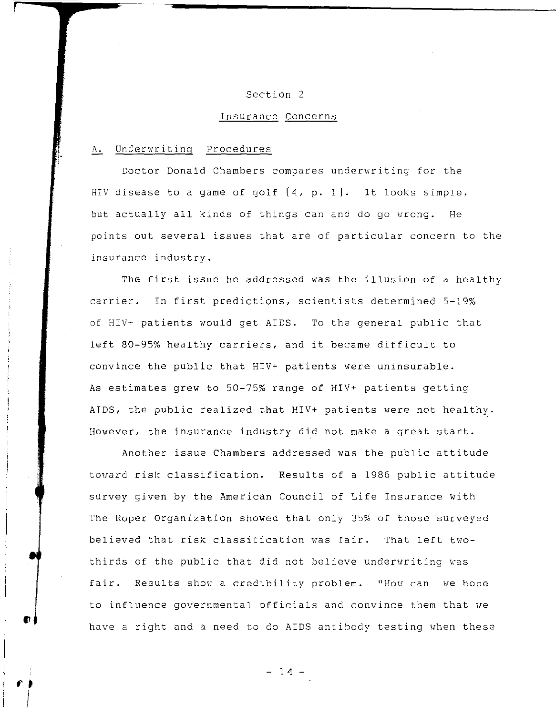# Section 2

# Insurance Concerns

### A. Underwriting Procedures

Doctor Donald Chambers compares underwriting for the HIV disease to a game of golf [4, p. IJ. It looks simple, but actually all kinds of things can and do go wrong. He points out several issues that are of particular concern to the insurance industry.

The first issue he addressed was the illusion of a healthy carrier. In first predictions, scientists determined 5-19% of HIV+ patients would get AIDS. To the general public that left 80-95% healthy carriers, and it became difficult to convince the public that HIV+ patients were uninsurable. As estimates grew to 50-75% range of HIV+ patients getting AIDS, the public realized that HIV+ patients were not healthy. However, the insurance industry did not make a great start.

Another issue Chambers addressed was the public attitude toward risk classification. Results of a 1986 public attitude survey given by the American Council of Life Insurance with The Roper Organization showed that only 35% of those surveyed believed that risk classification was fair. That left twothirds of the public that did not believe underwriting was fair. Results show a credibility problem. "How can we hope to influence governmental officials and convince them that we have a right and a need to do AIDS antibody testing when these

 $- 14 -$ 

 $\mathbf{f}$ 

 $\int$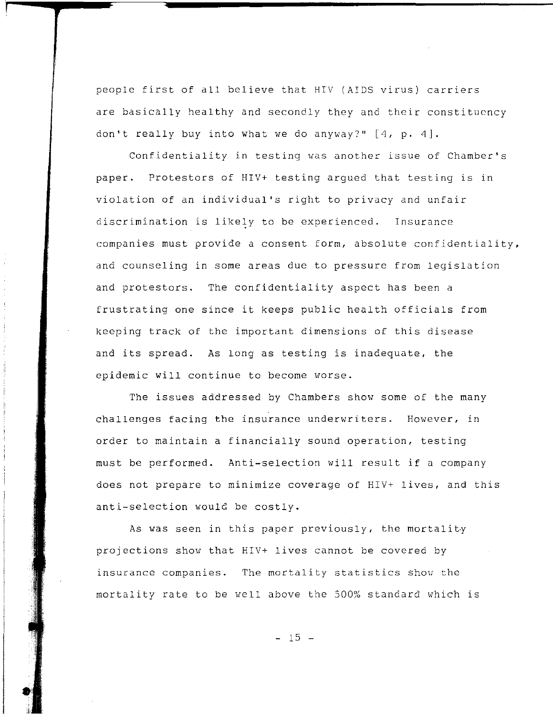people first of all believe that HIV (AIDS virus) carriers are basically healthy and secondly they and their constituency don't really buy into what we do anyway?" [4. **p.** 4].

Confidentiality in testing was another issue of Chamber's paper. Protestors of HIV+ testing argued that testing is in violation of an individual's right to privacy and unfair discrimination is likely to be experienced. Insurance companies must provide a consent form. absolute confidentiality. and counseling in some areas due to pressure from legislation and protestors. The confidentiality aspect has been a frustrating one since it keeps public health officials from keeping track of the important dimensions of this disease and its spread. As long as testing is inadequate, the epidemic will continue to become worse.

The issues addressed by Chambers show some of the many challenges facing the insurance underwriters. **However, in**  order to maintain a financially sound operation. testing must be performed. Anti-selection will result if a company does not prepare to minimize coverage of HIV+ lives, and this anti-selection would be costly.

As was seen in this paper previously, the mortality projections show that HIV+ lives cannot be covered by insurance companies. The mortality statistics show the mortality rate to be well above the 500% standard which is

 $- 15 -$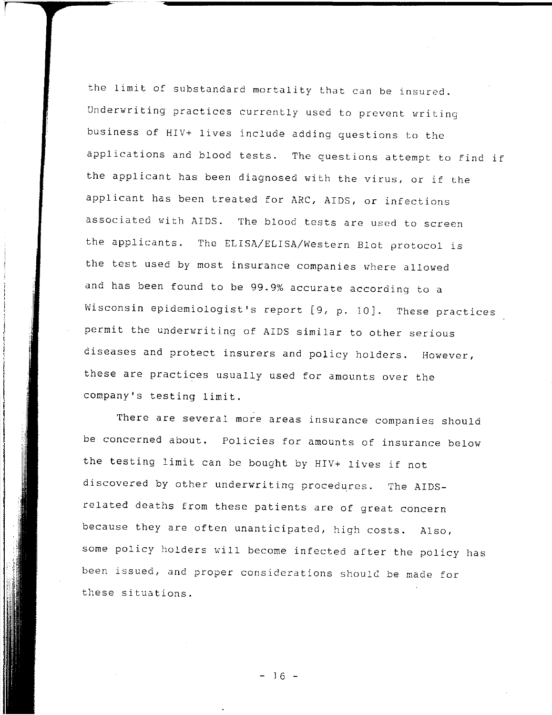the limit of substandard mortality that can be insured. Underwriting practices currently used to prevent writing business of HIV+ lives include adding questions to the applications and blood tests. The questions attempt to find if the applicant has been diagnosed with the virus, or if the applicant has been treated for ARC, AIDS, or infections associated with AIDS. The blood tests are used to screen the applicants. The ELISA/ELISA/Western Blot protocol is the test used by most insurance companies where allowed and has been found to be 99.9% accurate according to a Wisconsin epidemiologist's report [9, **p.** 10j. These practices permit the underwriting of AIDS similar to other serious diseases and protect insurers and policy holders. **However,**  these are practices usually used for amounts over the company's testing limit.

There are several more areas insurance companies should be concerned about. Policies for amounts of insurance below the testing limit can be bought by HIV+ lives if not discovered by other underwriting procedures. The AIDSrelated deaths from these patients are of great concern because they are often unanticipated, high costs. Also, some policy holders will become infected after the policy has been issued, and proper considerations should be made for these situations.

- 16 -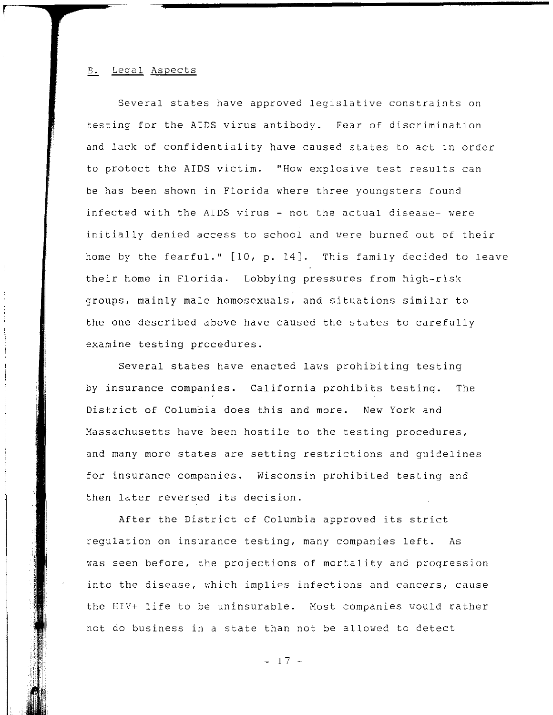#### B. Legal Aspects

Several states have approved legislative constraints on testing for the AIDS virus antibody. Fear of discrimination and lack of confidentiality have caused states to act in order to protect the AIDS victim. "How explosive test results can be has been shown in Florida where three youngsters found infected with the AIDS virus - not the actual disease- were initially denied access to school and were burned out of their home by the fearful." [10. p. 14]. This family decided to leave their home in Florida. Lobbying pressures from high-risk groups. mainly male homosexuals. and situations similar to the one described above have caused the states to carefully examine testing procedures.

Several states have enacted laws prohibiting testing by insurance companies. California prohibits testing. The District of Columbia does this and more. New *York* and Massachusetts have been hostile to the testing procedures. and many more states are setting restrictions and guidelines for insurance companies. Wisconsin prohibited testing and then later reversed its decision.

After the District of Columbia approved its strict regulation on insurance testing. many companies left. As was seen before, the projections of mortality and progression into the disease, which implies infections and cancers, cause the HIV+ life to be uninsurable. Most companies would rather not do business in a state than not be allowed to detect

 $- 17 -$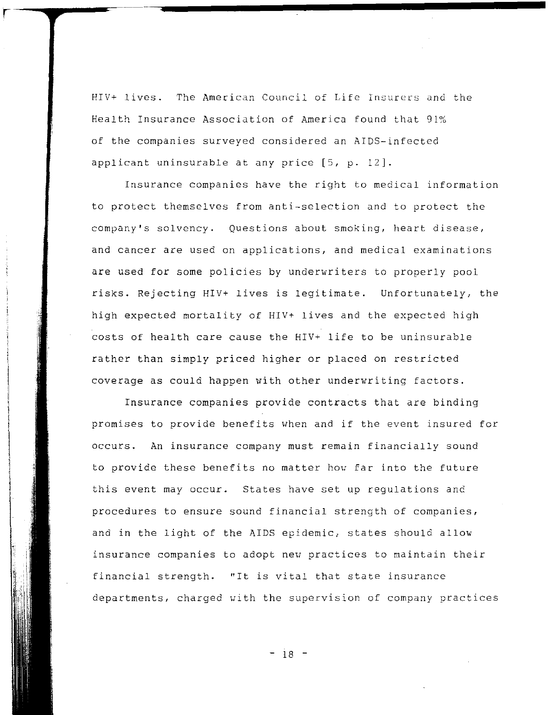HIV+ lives. The American Council of Life Insurers and the Health Insurance Association of America found that 91% of the companies surveyed considered an AIDS-infected applicant uninsurable at any price [5, p. 12].

r

Insurance companies have the right to medical information to protect themselves from anti-selection and to protect the company's solvency. Questions about smoking, heart disease, and cancer are used on applications, and medical examinations are used for some policies by underwriters to properly pool risks. Rejecting HIV+ lives is legitimate. Unfortunately, the high expected mortality of HIV+ lives and the expected high costs of health care cause the HIV+ life to be uninsurable rather than simply priced higher or placed on restricted coverage as could happen with other underwriting factors.

Insurance companies provide contracts that are binding promises to provide benefits when and if the event insured for occurs. An insurance company must remain financially sound to provide these benefits no matter how far into the future this event may occur. States have set up regulations and procedures to ensure sound financial strength of companies, and in the light of the AIDS epidemic, states should allow insurance companies to adopt nev practices to maintain their financial strength. "It is vital that state insurance departments, charged with the supervision of company practices

- 18 -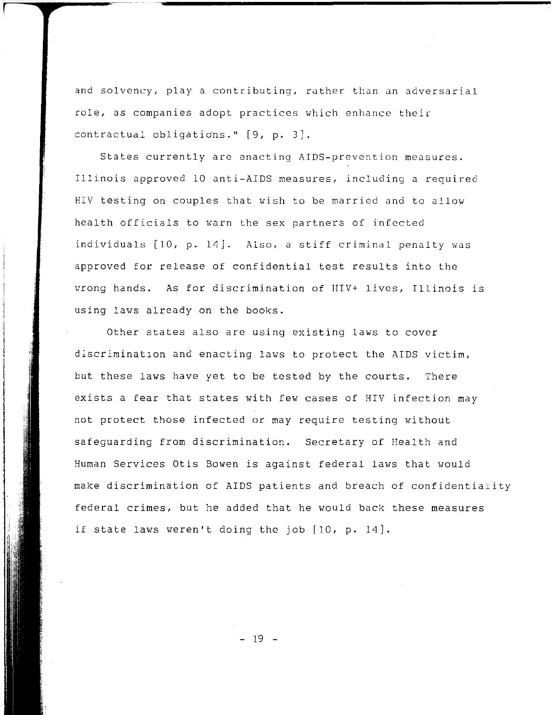and solvency, play a contributing, rather than an adversarial role. as companies adopt practices which enhance their contractual obligations." [9, p. 3].

States currently are enacting AIDS-prevention measures. Illinois approved 10 anti-AIDS measures. including a required HIV testing on couples that wish to be married and to allow health officials to warn the sex partners of infected individuals [10, p. 14]. Also, a stiff criminal penalty was approved for release of confidential test results into the wrong hands. As for discrimination of HIV+ lives, Illinois is using laws already on the books.

Other states also are using existing laws to cover discrimination and enacting laws to protect the AIDS victim, but these laws have yet to be tested by the courts. There exists a fear that states with few cases of HIV infection may not protect those infected or may require testing without safeguarding from discrimination. Secretary of Health and Human Services Otis Bowen is against federal laws that would make discrimination of AIDS patients and breach of confidentiality federal crimes, but he added that he would back these measures if state laws weren't doing the job  $[10, p. 14]$ .

- 19 -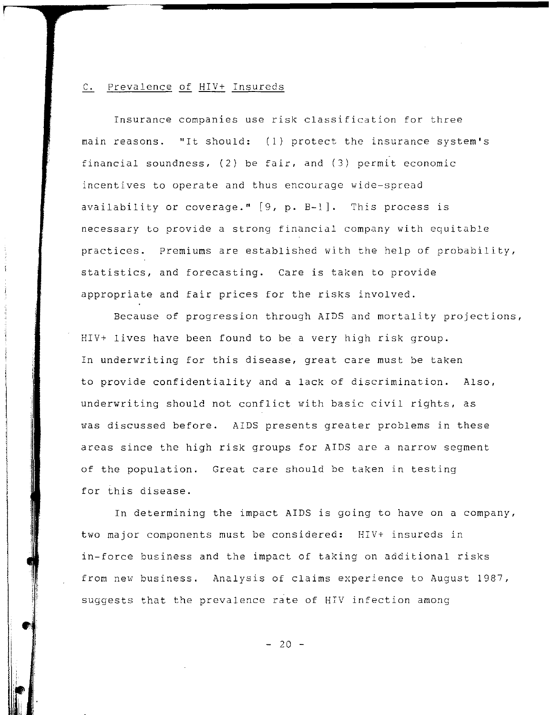# c. Prevalence of HIV+ Insureds

Insurance companies use risk classification for three main reasons. **"It** should: (1) protect the insurance system's financial soundness, (2) be fair, and (3) permit economic incentives to operate and thus encourage wide-spread availability or coverage."  $[9, p. B-1]$ . This process is necessary to provide a strong financial company with equitable practices. Premiums are established with the help of probability, statistics, and forecasting. Care is taken to provide appropriate and fair prices for the risks involved.

Because of progression through AIDS and mortality projections, HIV+ lives have been found to be a very high risk group. In underwriting for this disease, great care must be taken to provide confidentiality and a lack of discrimination. Also, underwriting should not conflict with basic civil rights, as was discussed before. AIDS presents greater problems in these areas since the high risk groups for AIDS are a narrow segment of the population. Great care should be taken in testing for this disease.

In determining the impact AIDS is going to have on a company, two major components must be considered: HIV+ insureds in in-force business and the impact of taking on additional risks from new business. Analysis of claims experience to August 1987, suggests that the prevalence rate of HIV infection among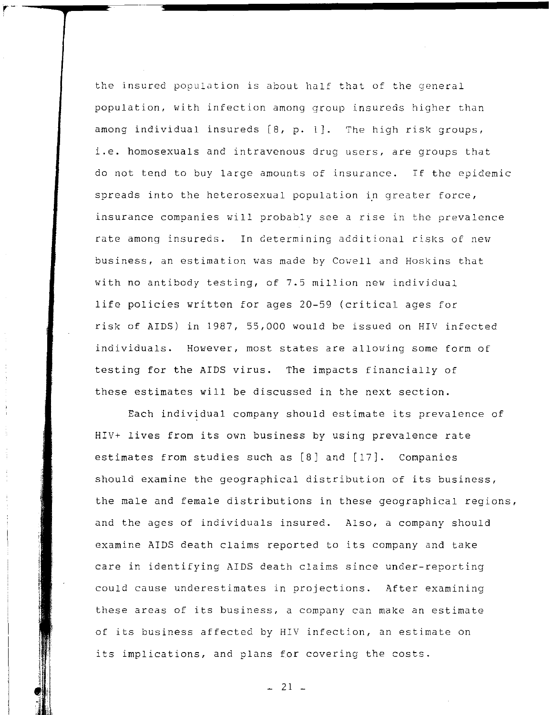the insured population is about half that of the general population, with infection among group insureds higher than among individual insureds [8, p. 1]. The high risk groups, i.e. homosexuals and intravenous drug users, are groups that do not tend to buy large amounts of insurance. If the epidemic spreads into the heterosexual population in greater force, insurance companies will probably see a rise in the prevalence rate among insureds. In determining additional risks of new business, an estimation was made by Cowell and Hoskins that with no antibody testing, of 7.5 million new individual life policies written for ages 20-59 (critical ages for risk of AIDS) in 1987, 55,000 would be issued on HIV infected individuals. However, most states are allowing some form of testing for the AIDS virus. The impacts financially of these estimates will be discussed in the next section.

Each individual company should estimate its prevalence of HIV+ lives from its own business by using prevalence rate estimates from studies such as [8] and [17]. Companies should examine the geographical distribution of its business, the male and female distributions in these geographical regions, and the ages of individuals insured. Also, a company should examine AIDS death claims reported to its company and take care in identifying AIDS death claims since under-reporting could cause underestimates in projections. After examining these areas of its business, a company can make an estimate of its business affected by HIV infection, an estimate on its implications, and plans for covering the costs.

 $-21$   $-$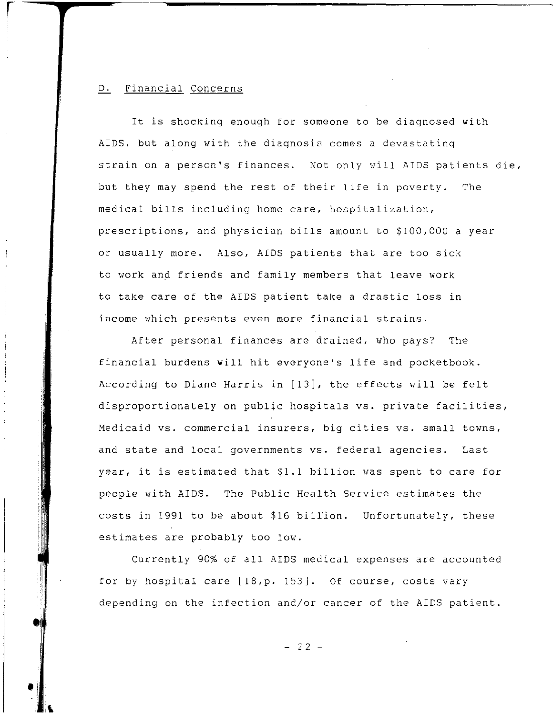# D. Financial Concerns

r

 $\bullet$ 

**'I** 

 $\mathbf{L}$ 

It is shocking enough for someone to be diagnosed with AIDS, but along with the diagnosis comes a devastating strain on a person's finances. Not only will AIDS patients die, but they may spend the rest of their life in poverty. The medical bills including home care, hospitalization, prescriptions, and physician bills amount to \$100,000 a year or usually more. Also, AIDS patients that are too sick to work and friends and family members that leave work to take care of the AIDS patient take a drastic loss in income which presents even more financial strains.

After personal finances are drained, who pays? The financial burdens will hit everyone's life and pocketbook. According to Diane Harris in [13], the effects will be felt disproportionately on public hospitals vs. private facilities, Medicaid vs. commercial insurers, big cities vs. small towns, and state and local governments vs. federal agencies. Last year, it is estimated that \$1.1 billion was spent to care for people with AIDS. The Public Health Service estimates the costs in 1991 to be about \$16 biliion. Unfortunately, these estimates are probably too low.

Currently 90% of all AIDS medical expenses are accounted for by hospital care [IB,p. 153]. Of course, costs vary depending on the infection and/or cancer of the AIDS patient.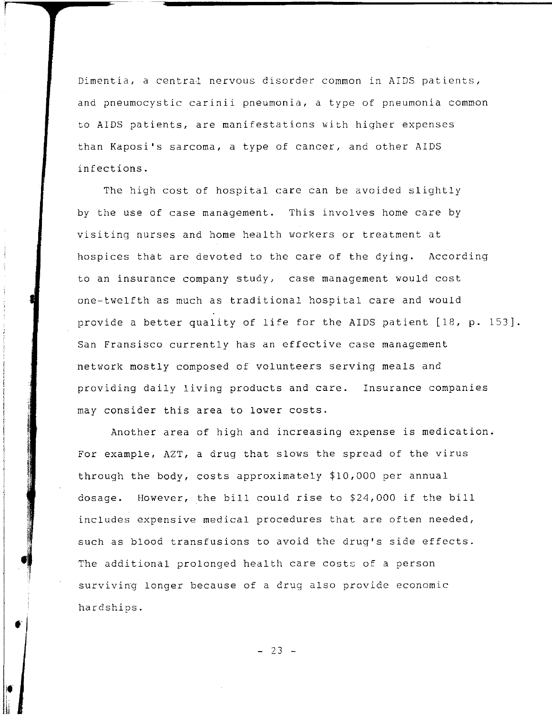Dimentia, a central nervous disorder common in AIDS patients, and pneumocystic carinii pneumonia, a type of pneumonia common to AIDS patients, are manifestations with higher expenses than Kaposi's sarcoma, a type of cancer, and other AIDS infections.

The high cost of hospital care can be avoided slightly by the use of case management. This involves home care by visiting nurses and home health workers or treatment at hospices that are devoted to the care of the dying. According to an insurance company study, case management would cost one-twelfth as much as traditional hospital care and would provide a better quality of life for the AIDS patient [18, **p.** 153}. San Fransisco currently has an effective case management network mostly composed of volunteers serving meals and providing daily living products and care. Insurance companies may consider this area to lower costs.

Another area of high and increasing expense is medication. For example, AZT, a drug that slows the spread of the virus through the body, costs approximately \$10,000 per annual dosage. However, the bill could rise to \$24,000 if the bill includes expensive medical procedures that are often needed, such as blood transfusions to avoid the drug's side effects. The additional prolonged health care costs of a person surviving longer because of a drug also provide economic hardships .

 $- 23 -$ 

 $\bullet$ 

•

Ii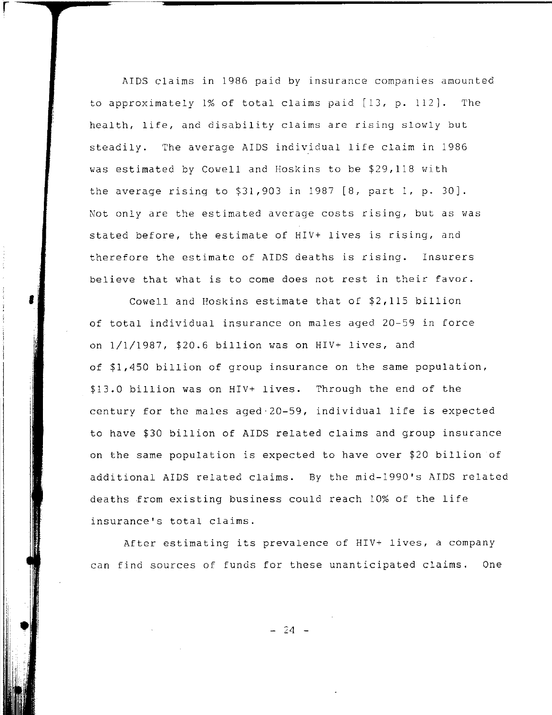AIDS claims in 1986 paid by insurance companies amounted to approximately 1% of total claims paid [13, **p.** 112]. The health, life, and disability claims are rising slowly but steadily. The average AIDS individual life claim in 1986 was estimated by Cowell and Hoskins to be \$29,118 with the average rising to \$31,903 in 1987 [8, part 1, **p.** 30]. Not only are the estimated average costs rising, but as was stated before, the estimate of HIV+ lives is rising, and therefore the estimate of AIDS deaths is rising. Insurers believe that what is to come does not rest in their favor.

r

،<br>|<br>|

**.1** 

Cowell and Hoskins estimate that of \$2,115 billion of total individual insurance on males aged 20-59 in force on 1/1/1987, \$20.6 billion was on HIV+ lives, and of \$1,450 billion of group insurance on the same population, \$13.0 billion was on HIV+ lives. Through the end of the century for the males aged 20-59, individual life is expected to have \$30 billion of AIDS related claims and group insurance on the same population is expected to have over \$20 billion of additional AIDS related claims. By the mid-1990's AIDS related deaths *from* existing business could reach 10% of the life insurance's total claims.

After estimating its prevalence of HIV+ lives, a company can find sources of funds for these unanticipated claims. One

 $-24 -$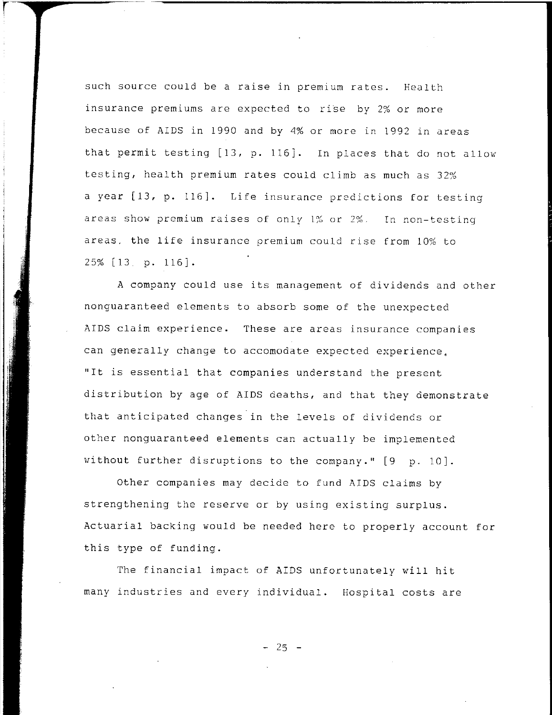such source could be a raise in premium rates. Health insurance premiums are expected to rise by 2% or more because of AIDS in 1990 and by 4% or more in 1992 in areas that permit testing [13, p. 116). In places that do not allow testing, health premium rates could climb as much as 32% a year [13, p. 116). **Life insurance predictions for testing**  areas show premium raises of only 1% **or** In non-testing areas. the life insurance premium could rise from 10% to 25% [13 p. 116J.

A company could use its management of dividends and other nonguaranteed elements to absorb some of the unexpected AIDS claim experience. These are areas insurance companies can generally change to accomodate expected experience, "It is essential that companies understand the present distribution by age of AIDS deaths, and that they demonstrate that anticipated changes in the levels of dividends or other nonguaranteed elements can actually be implemented without further disruptions to the company." [9 p. 10).

Other companies may decide to fund AIDS claims by strengthening the reserve or by using existing surplus. Actuarial backing would be needed here to properly account for this type of funding.

The financial impact of AIDS unfortunately will hit many industries and every individual. Hospital costs are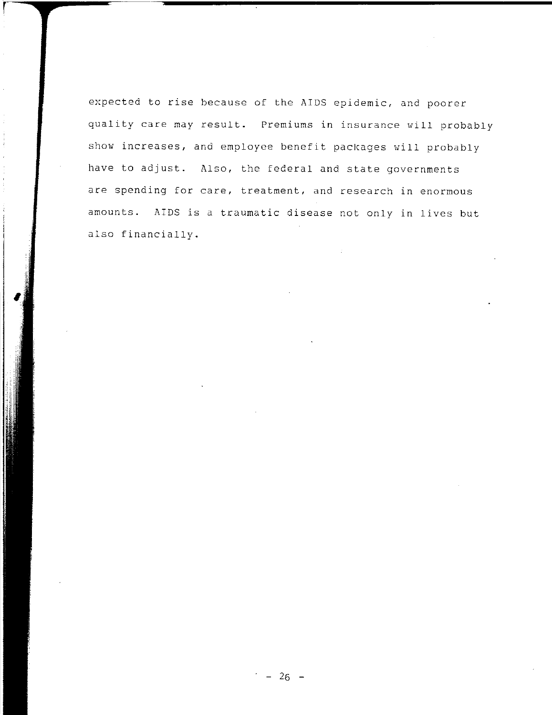expected to rise because of the AIDS epidemic, and poorer quality care may result. Premiums in insurance will probably show increases, and employee benefit packages will probably have to adjust. Also, the federal and state governments are spending for care, treatment, and research in enormous amounts. AIDS is a traumatic disease not only in lives but also financially.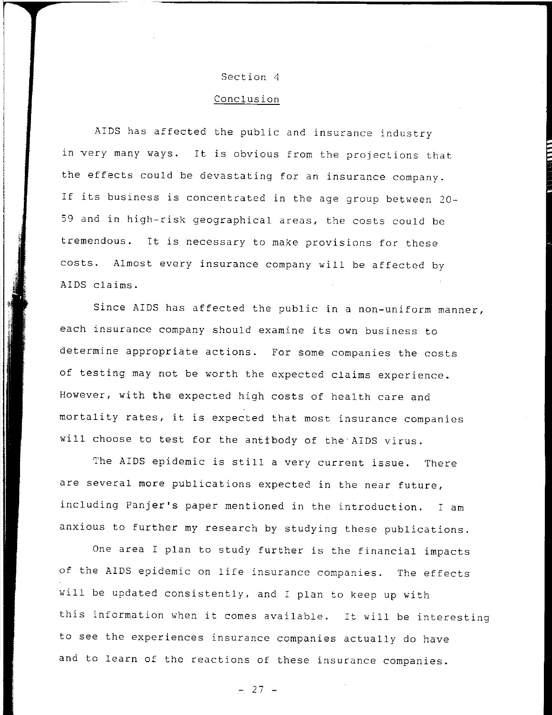### Section 4

# Conclusion

AIDS has affected the public and insurance industry in very many ways. It is obvious from the projections that the effects could be devastating for an insurance company. If its business is concentrated in the age group between 20- 59 and in high-risk geographical areas, the costs could be tremendous. It is necessary to make provisions for these costs. Almost every insurance company will be affected by AIDS claims.

Since AIDS has affected the public in a non-uniform manner, each insurance company should examine its own business to determine appropriate actions. For some companies the costs of testing may not be worth the expected claims experience. However, with the expected high costs of health care and mortality rates, it is expected that most insurance companies will choose to test for the anttbody of the AIDS virus.

The AIDS epidemic is still a very current issue. There are several more publications expected in the near future, including Panjer's paper mentioned in the introduction. I am anxious to further my research by studying these publications.

One area I plan to study further is the financial impacts of the AIDS epidemic on life insurance companies. The effects will be updated consistently, and I plan to keep up with this information when it comes available. It will be interesting to see the experiences insurance companies actually do have and to learn of the reactions of these insurance companies.

 $- 27 -$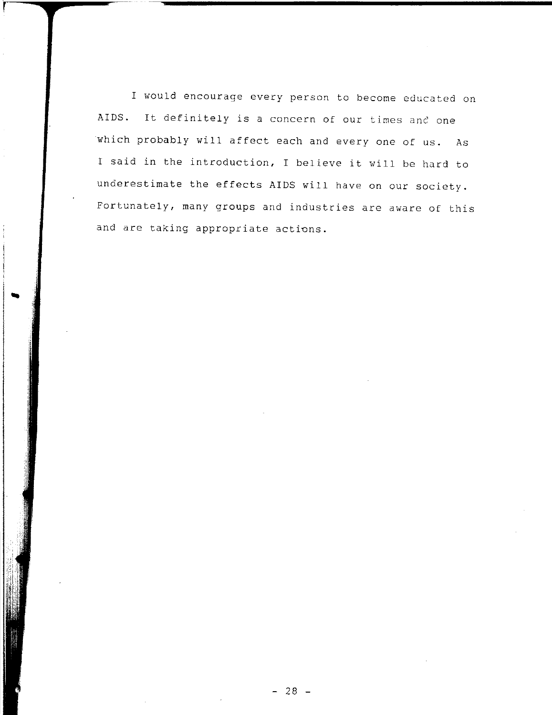I would encourage every person to become educated on AIDS. It definitely is a concern of our times and one which probably will affect each and every one of us. As I said in the introduction, I believe it will be hard to underestimate the effects AIDS will have on our society. Fortunately, many groups and industries are aware of this and are taking appropriate actions.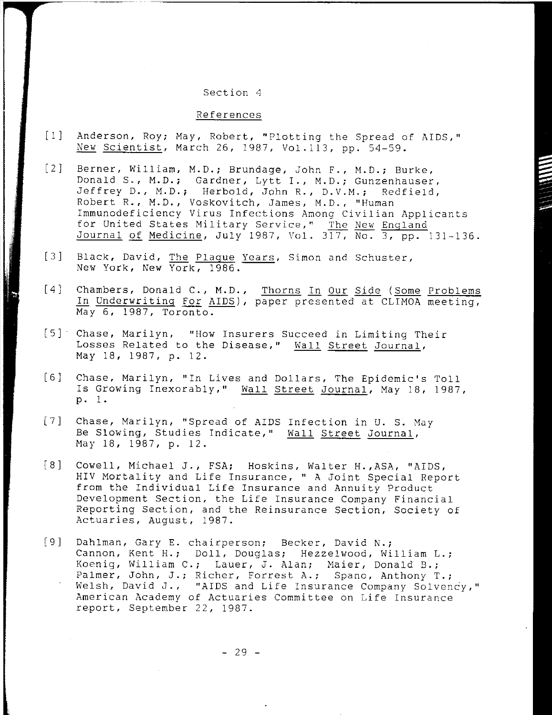#### Section 4

## References

- [1] Anderson, Roy; May, Robert, "Plotting the Spread of AIDS," New Scientist, March 26, 1987, Vol.113, pp. 54-59.
- [2] Berner, William, M.D.; Brundage, John F., M.D.; Burke, Donald S., M.D.; Gardner, Lytt I., M.D.; Gunzenhauser,<br>Jeffrey D., M.D.; Herbold, John R., D.V.M.; Redfield, Jeffrey D., M.D.; Herbold, John R., D.V.M.; Robert R., M.D., Voskovitch, James, M.D., "Human Immunodeficiency Virus Infections Among Civilian Applicants for United States Military Service," The New England Journal of Medicine, July 1987, Vol.  $3\overline{17}$ , No.  $3$ , pp. 131-136.
- [3] Black, David, The Plaque Years, Simon and Schuster, New York, New York, 1986.
- [4] Chambers, Donald C., M.D., Thorns In Our Side (Some Problems In Underwriting For AIDS), paper presented at CLIMOA meeting, May 6, 1987, Toronto.
- [5] Chase, Marilyn, "How Insurers Succeed in Limiting Their Losses Related to the Disease," Wall Street Journal, May 18, 1987, p. 12.
- $[6]$ Chase, Marilyn, "In Lives and Dollars, The Epidemic's Toll Is Growing Inexorably," Wall Street Journal, May 18, 1987, p. 1.
- [ 7] Chase, Marilyn, "Spread of AIDS Infection in U. S. May Be Slowing, Studies Indicate," Wall Street Journal, May 18, 1987, p. 12.
- [8] Cowell, Michael J., FSA; Hoskins, Walter H.,ASA, "AIDS, HIV Mortality and Life Insurance, " A Joint Special Report from the Individual Life Insurance and Annuity Product Development Section, the Life Insurance Company Financial Reporting Section, and the Reinsurance Section, Society of Actuaries, August, 1987.
- [9] Dahlman, Gary E. chairperson; Becker, David N.; Cannon, Kent H.; Doll, Douglas; Hezzelwood, William L.; Koenig, William C.; Lauer, J. Alan; Maier, Donald B.; Palmer, John, J.; Richer, Forrest A.; Spano, Anthony T.; Welsh, David J., "AIDS and Life Insurance Company Solvency," American Academy of Actuaries Committee on Life Insurance report, September 22, 1987.

- 29 -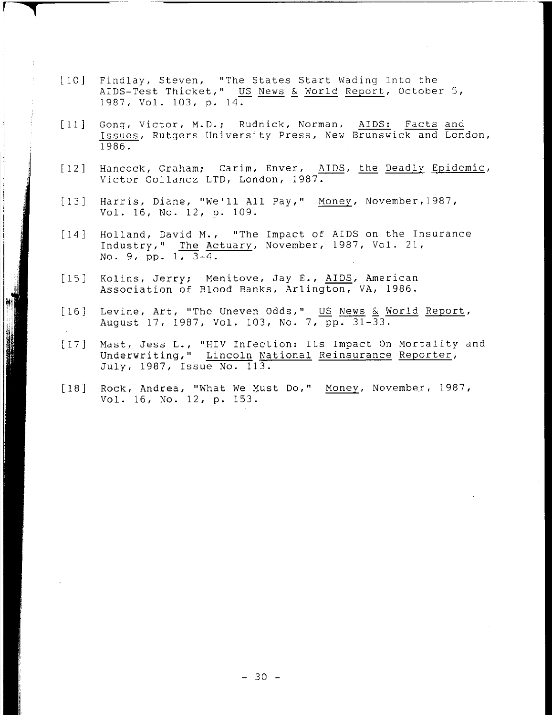[10] Findlay. Steven. "The States Start Wading Into the AIDS-Test Thicket," US News & World Report, October 5, 1987. Vol. 103. p. 14.

r **..,** 

 $\label{eq:R1} \frac{1}{\sqrt{2}}\frac{1}{\sqrt{2}}\frac{1}{\sqrt{2}}\frac{1}{\sqrt{2}}\frac{1}{\sqrt{2}}\frac{1}{\sqrt{2}}\frac{1}{\sqrt{2}}\frac{1}{\sqrt{2}}\frac{1}{\sqrt{2}}\frac{1}{\sqrt{2}}\frac{1}{\sqrt{2}}\frac{1}{\sqrt{2}}\frac{1}{\sqrt{2}}\frac{1}{\sqrt{2}}\frac{1}{\sqrt{2}}\frac{1}{\sqrt{2}}\frac{1}{\sqrt{2}}\frac{1}{\sqrt{2}}\frac{1}{\sqrt{2}}\frac{1}{\sqrt{2}}\frac{1}{\sqrt{2}}\frac$ 

 $\,$   $\,$ 

- [11] Gong, Victor, M.D.; Rudnick, Norman, AIDS: Facts and Issues. Rutgers University Press. New Brunswick and London. 1986.
- $\begin{bmatrix} 1 & 2 \end{bmatrix}$ Hancock, Graham; Carim, Enver, AIDS, the Deadly Epidemic, Victor Gollancz LTD, London, 1987.
- [13] Harris. Diane. "We'll All Pay." Money. November.1987. Vol. 16. No. 12, p. 109.
- [14] Holland, David M., "The Impact of AIDS on the Insurance Industry," The Actuary, November, 1987, Vol. 21, No. 9, pp.  $1, 3-4.$
- [15] Kolins, Jerry; Menitove, Jay E., AIDS, American Association of Blood Banks, Arlington, VA, 1986.
- [16] Levine, Art, "The Uneven Odds," US News & World Report, August 17, 1987, Vol. 103, No.7, pp. 31-33.
- [17] Mast, Jess L., "HIV Infection: Its Impact On Mortality and Underwriting," Lincoln National Reinsurance Reporter, July. 1987, Issue No. 113.
- [18] Rock, Andrea, "What We Must Do," Money, November, 1987, Vol. 16, No. 12, p. 153.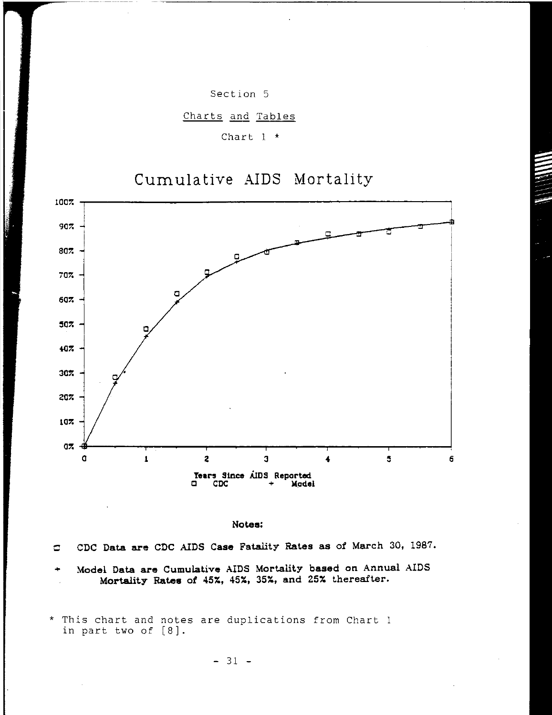

Charts and Tables

Chart 1 \*

# Cumulative AIDS Mortality



Notes:

o CDC Data are CDC AIDS Case Fatality Rates as of March 30. 1987.

Model Data are Cumulative AIDS Mortality based on Annual AIDS Mortality Rates of 45%. 45%. 35%, and 25% thereafter.

<sup>\*</sup> This chart and notes are duplications from Chart 1 in part two of [8].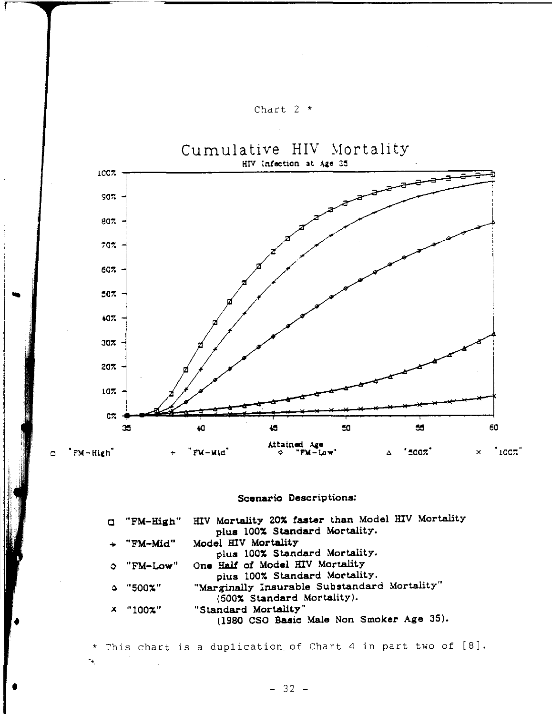

# Scenario Descriptions:

| u "FM-High"   | HIV Mortality 20% faster than Model HIV Mortality |
|---------------|---------------------------------------------------|
|               | plus 100% Standard Mortality.                     |
| + "FM-Mid"    | Model HIV Mortality                               |
|               | plus 100% Standard Mortality.                     |
| $O$ "FM-Low"  | One Half of Model HIV Mortality                   |
|               | plus 100% Standard Mortality.                     |
| $\sim$ "500%" | "Marginally Insurable Substandard Mortality"      |
|               | (500% Standard Mortality).                        |
| $x$ "100%"    | "Standard Mortality"                              |
|               | (1980 CSO Basic Male Non Smoker Age 35).          |
|               |                                                   |

\* This chart is a duplication of Chart 4 in part two of [8]. " .

t version version version version version version version version version version version versionline versionline versionline versionline versionline versionline versionline versionline versionline versionline versionline

•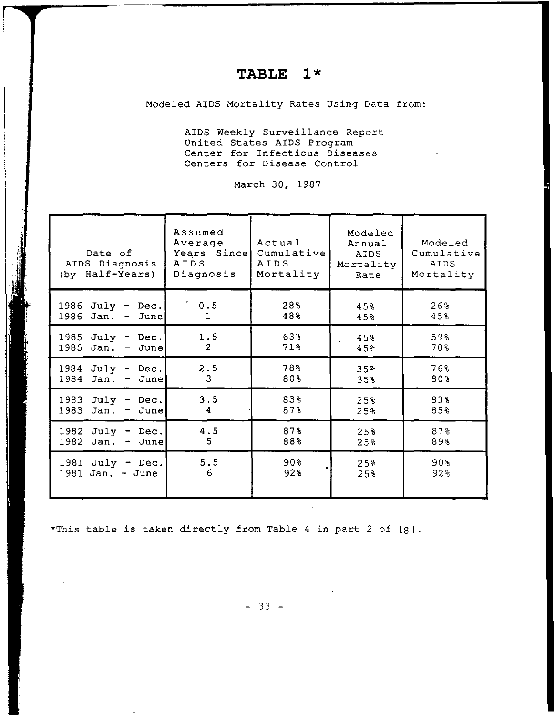# **TABLE 1\***

Modeled AIDS Mortality Rates Using Data from:

AIDS Weekly Surveillance Report United States AIDS Program Center for Infectious Diseases Centers for Disease Control

March 30, 1987

| Date of<br>AIDS Diagnosis<br>(by Half-Years)    | Assumed<br>Average<br>Years Since<br>AIDS<br>Diagnosis | Actual<br>Cumulative<br>AIDS<br>Mortality | Modeled<br>Annual<br>AIDS<br>Mortality<br>Rate | Modeled<br>Cumulative<br>AIDS<br>Mortality |
|-------------------------------------------------|--------------------------------------------------------|-------------------------------------------|------------------------------------------------|--------------------------------------------|
| $July - Dec.$<br>1986<br>$1986$ Jan. -<br>June  | 0.5<br>1                                               | 28%<br>48%                                | 45%<br>45%                                     | 26%<br>45%                                 |
| 1985<br>$July - Dec.$<br>1985<br>Jan.<br>June   | 1.5<br>$\overline{2}$                                  | 63%<br>71%                                | 45%<br>45%                                     | 59%<br>70%                                 |
| $July - Dec.$<br>1984<br>Jan.<br>1984<br>- June | 2.5<br>3                                               | 78%<br>80%                                | 35%<br>35%                                     | 76%<br>80%                                 |
| 1983 July - Dec.<br>1983<br>Jan. $-$ June       | 3.5<br>4                                               | 83%<br>87%                                | 25%<br>25%                                     | 83%<br>85%                                 |
| 1982<br>$July - Dec.$<br>1982<br>$Jan. - June$  | 4.5<br>5                                               | 87%<br>88%                                | 25%<br>25%                                     | 87%<br>89%                                 |
| 1981 July - Dec.<br>1981 Jan. - June            | 5.5<br>6                                               | 90%<br>92%                                | 25%<br>25%                                     | 90%<br>92%                                 |

\*This table is taken directly from Table 4 in part 2 of [8].

 $- 33 -$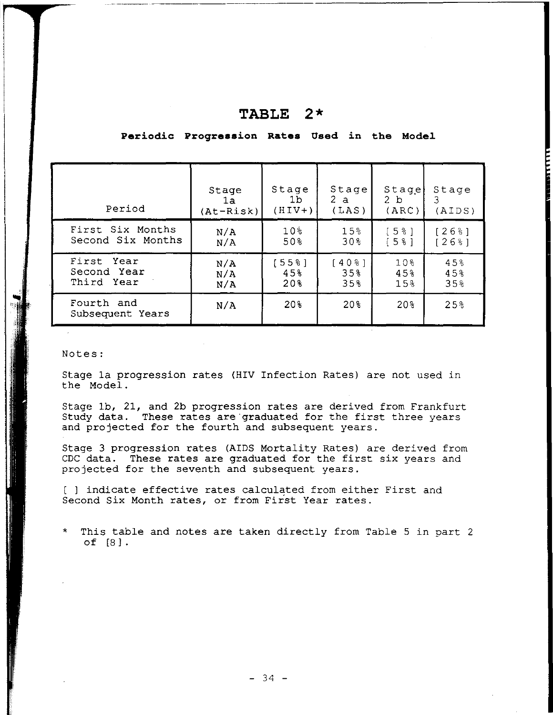| Period                         | Stage       | Stage           | Stage              | Stage           | Stage      |
|--------------------------------|-------------|-----------------|--------------------|-----------------|------------|
|                                | la.         | 1 <sub>b</sub>  | 2a                 | 2 b             | 3          |
|                                | $(At-Risk)$ | $(HIV+)$        | (LAS)              | (ARC)           | (AIDS)     |
| First Six Months               | N/A         | 10 <sub>3</sub> | 15%                | [58]            | [26%]      |
| Second Six Months              | N/A         | 50%             | 30 <sub>8</sub>    | [58]            | $126$ $31$ |
| First Year                     | N/A         | :55%]           | $40$ $\frac{1}{6}$ | 10%             | 45%        |
| Second Year                    | N/A         | 45%             | 35%                | 45%             | 45%        |
| Third Year                     | N/A         | 20%             | 35%                | 15 <sub>3</sub> | 35%        |
| Fourth and<br>Subsequent Years | N/A         | 20%             | 20%                | 20 <sub>3</sub> | 25%        |

# **TABLE 2\***

~ ~

Periodic Progression Rates Used in the Model

- ------ ~~~--~-

# Notes:

Stage 1a progression rates (HIV Infection Rates) are not used in the Model.

Stage 1b, 21, and 2b progression rates are derived from Frankfurt Study data. These rates are 'graduated for the first three years and projected for the fourth and subsequent years.

Stage 3 progression rates (AIDS Mortality Rates) are derived from CDC data. These rates are graduated for the first six years and projected for the seventh and subsequent years.

[ 1 indicate effective rates calculated from either First and Second Six Month rates, or from First Year rates.

This table and notes are taken directly from Table 5 in part 2 of [8].